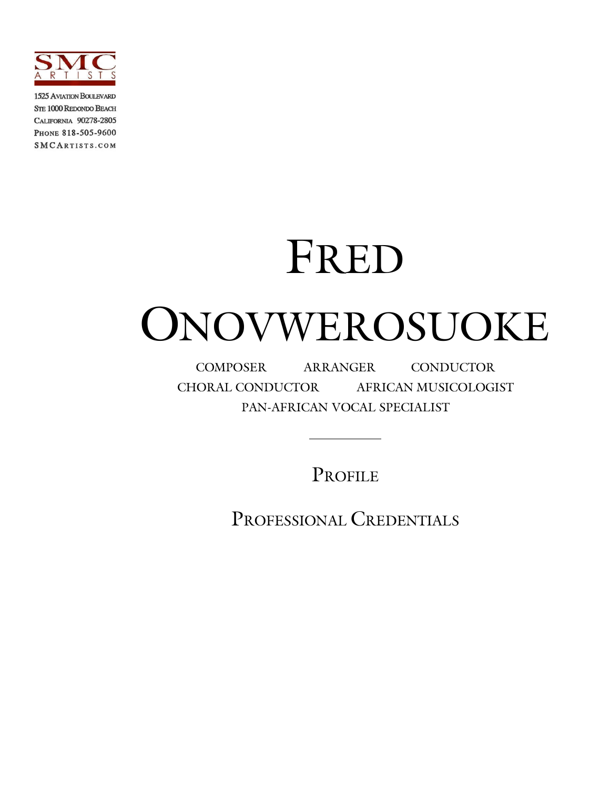

**1525 AVIATION BOULEVARD STE 1000 REDONDO BEACH** CALIFORNIA 90278-2805 PHONE 818-505-9600 **SMCARTISTS.COM** 

## FRED

# ONOVWEROSUOKE

COMPOSER ARRANGER CONDUCTOR CHORAL CONDUCTOR AFRICAN MUSICOLOGIST PAN-AFRICAN VOCAL SPECIALIST

PROFILE

PROFESSIONAL CREDENTIALS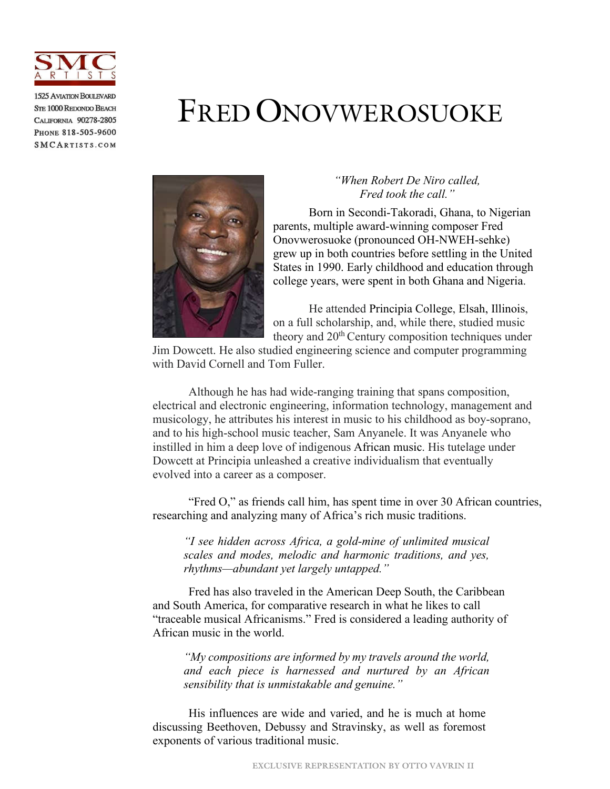

**1525 AVIATION BOULEVARD STE 1000 REDONDO BEACH** CALIFORNIA 90278-2805 PHONE 818-505-9600 SMCARTISTS.COM

### FRED ONOVWEROSUOKE



#### *"When Robert De Niro called, Fred took the call."*

Born in Secondi-Takoradi, Ghana, to Nigerian parents, multiple award-winning composer Fred Onovwerosuoke (pronounced OH-NWEH-sehke) grew up in both countries before settling in the United States in 1990. Early childhood and education through college years, were spent in both Ghana and Nigeria.

He attended Principia College, Elsah, Illinois, on a full scholarship, and, while there, studied music theory and 20<sup>th</sup> Century composition techniques under

Jim Dowcett. He also studied engineering science and computer programming with David Cornell and Tom Fuller.

Although he has had wide-ranging training that spans composition, electrical and electronic engineering, information technology, management and musicology, he attributes his interest in music to his childhood as boy-soprano, and to his high-school music teacher, Sam Anyanele. It was Anyanele who instilled in him a deep love of indigenous African music. His tutelage under Dowcett at Principia unleashed a creative individualism that eventually evolved into a career as a composer.

"Fred O," as friends call him, has spent time in over 30 African countries, researching and analyzing many of Africa's rich music traditions.

*"I see hidden across Africa, a gold-mine of unlimited musical scales and modes, melodic and harmonic traditions, and yes, rhythms—abundant yet largely untapped."*

Fred has also traveled in the American Deep South, the Caribbean and South America, for comparative research in what he likes to call "traceable musical Africanisms." Fred is considered a leading authority of African music in the world.

*"My compositions are informed by my travels around the world, and each piece is harnessed and nurtured by an African sensibility that is unmistakable and genuine."*

His influences are wide and varied, and he is much at home discussing Beethoven, Debussy and Stravinsky, as well as foremost exponents of various traditional music.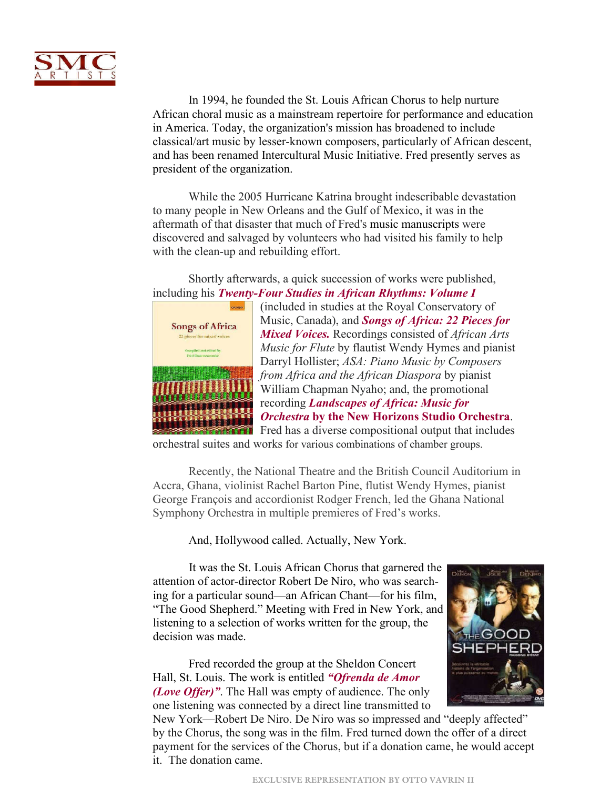

In 1994, he founded the St. Louis African Chorus to help nurture African choral music as a mainstream repertoire for performance and education in America. Today, the organization's mission has broadened to include classical/art music by lesser-known composers, particularly of African descent, and has been renamed Intercultural Music Initiative. Fred presently serves as president of the organization.

While the 2005 Hurricane Katrina brought indescribable devastation to many people in New Orleans and the Gulf of Mexico, it was in the aftermath of that disaster that much of Fred's music manuscripts were discovered and salvaged by volunteers who had visited his family to help with the clean-up and rebuilding effort.

Shortly afterwards, a quick succession of works were published, [including his](https://www.amazon.com/Songs-Africa-pieces-mixed-voices/dp/0193804654/ref=sr_1_1?crid=1JNA8GDM1OZ09&keywords=Songs+of+Africa%3A+22+Pieces+for+Mixed+Voices.&qid=1655166480&s=books&sprefix=songs+of+africa+22+pieces+for+mixed+voices.%2Cstripbooks%2C104&sr=1-1) *[Twenty-Four Studies in African Rhythms: Volume I](https://www.amazon.com/Twenty-four-Studies-African-Rhythms-I/dp/1934621226)*



(included in studies at the Royal Conservatory of Music, Canada), and *[Songs of Africa: 22 Pieces for](https://www.amazon.com/Songs-Africa-pieces-mixed-voices/dp/0193804654/ref=sr_1_1?crid=1JNA8GDM1OZ09&keywords=Songs+of+Africa%3A+22+Pieces+for+Mixed+Voices.&qid=1655166480&s=books&sprefix=songs+of+africa+22+pieces+for+mixed+voices.%2Cstripbooks%2C104&sr=1-1)  Mixed Voices.* Recordings consisted of *African Arts Music for Flute* by flautist Wendy Hymes and pianist Darryl Hollister; *ASA: Piano Music by Composers from Africa and the African Diaspora* by pianist William Chapman Nyaho; and, the promotional recording *Landscapes of Africa: Music for Orchestra* **[by the New Horizons Studio Orchestra](https://www.amazon.com/Songs-Africa-pieces-mixed-voices/dp/0193804654/ref=sr_1_1?crid=1JNA8GDM1OZ09&keywords=Songs+of+Africa%3A+22+Pieces+for+Mixed+Voices.&qid=1655166480&s=books&sprefix=songs+of+africa+22+pieces+for+mixed+voices.%2Cstripbooks%2C104&sr=1-1)**. Fred has a diverse compositional output that includes

orchestral suites and works for various combinations of chamber groups.

Recently, the National Theatre and the British Council Auditorium in Accra, Ghana, violinist Rachel Barton Pine, flutist Wendy Hymes, pianist George François and accordionist Rodger French, led the Ghana National Symphony Orchestra in multiple premieres of Fred's works.

And, Hollywood called. Actually, New York.

It was the St. Louis African Chorus that garnered the attention of actor-director Robert De Niro, who was searching for a particular sound—an African Chant—for his film, "The Good Shepherd." Meeting with Fred in New York, and listening to a selection of works written for the group, the decision was made.

Fred recorded the group at the Sheldon Concert Hall, St. Louis. The work is entitled *"Ofrenda de Amor (Love Offer)"*. [The Hall was empty of audience. The only](https://www.youtube.com/watch?v=aJHwG65guzI)  one listening was connected by a direct line transmitted to



New York—Robert De Niro. De Niro was so impressed and "deeply affected" by the Chorus, the song was in the film. Fred turned down the offer of a direct payment for the services of the Chorus, but if a donation came, he would accept it. The donation came.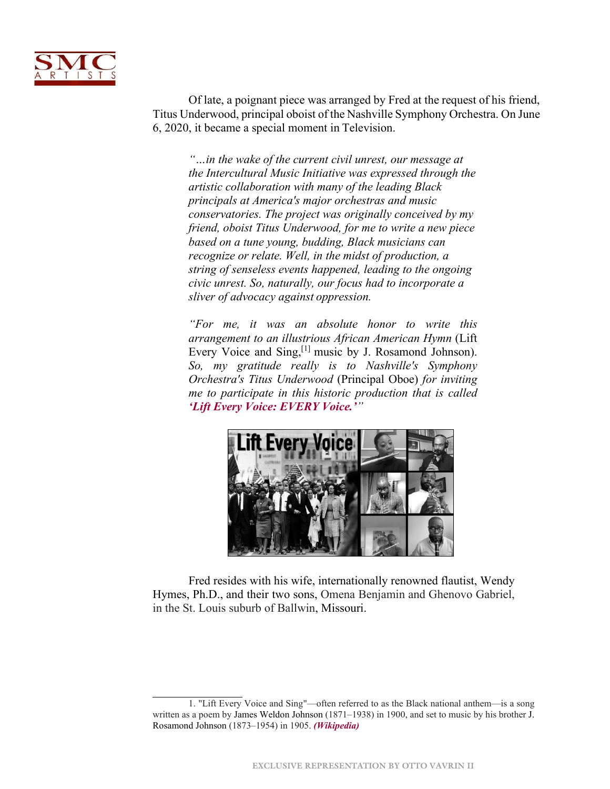

Of late, a poignant piece was arranged by Fred at the request of his friend, Titus Underwood, principal oboist of the Nashville Symphony Orchestra. On June 6, 2020, it became a special moment in Television.

*"…in the wake of the current civil unrest, our message at the Intercultural Music Initiative was expressed through the artistic collaboration with many of the leading Black principals at America's major orchestras and music conservatories. The project was originally conceived by my friend, oboist Titus Underwood, for me to write a new piece based on a tune young, budding, Black musicians can recognize or relate. Well, in the midst of production, a string of senseless events happened, leading to the ongoing civic unrest. So, naturally, our focus had to incorporate a sliver of advocacy against oppression.*

*"For me, it was an absolute honor to write this arrangement to an illustrious African American Hymn* (Lift Every Voice and Sing,<sup>[1]</sup> music by J. Rosamond Johnson). *So, my gratitude really is to Nashville's Symphony Orchestra's Titus Underwood* (Principal Oboe) *for inviting me to participate in this historic production that is called ['Lift Every Voice: EVERY](https://www.youtube.com/watch?v=9YS5xfA7MYg) Voice.'"*



Fred resides with his wife, internationally renowned flautist, Wendy Hymes, Ph.D., and their two sons, Omena Benjamin and Ghenovo Gabriel, in the St. Louis suburb of Ballwin, Missouri.

<sup>1. &</sup>quot;Lift Every Voice and Sing"—often referred to as the Black national anthem—is a song written as a poem by James Weldon Johnson (1871–1938) in 1900, and set to music by his brother J. Rosamond Johnson (1873–1954) in 1905. *[\(Wikipedia\)](https://en.wikipedia.org/wiki/Lift_Every_Voice_and_Sing)*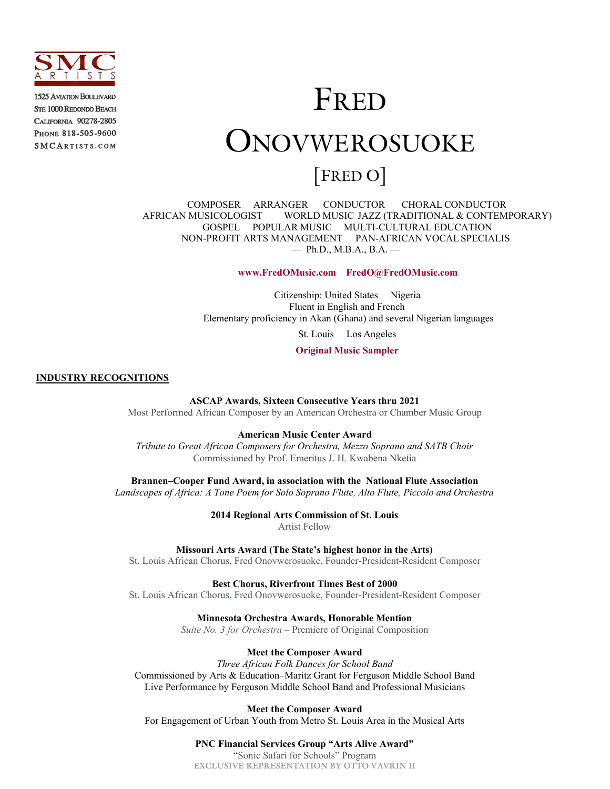

**1525 AVIATION BOULEVARD STE 1000 REDONDO BEACH** CALIFORNIA 90278-2805 PHONE 818-505-9600 SMCARTISTS.COM

### FRED ONOVWEROSUOKE [FRED O]

COMPOSER ARRANGER CONDUCTOR CHORAL CONDUCTOR AFRICAN MUSICOLOGIST WORLD MUSIC JAZZ (TRADITIONAL & CONTEMPORARY) GOSPEL POPULAR MUSIC MULTI-CULTURAL EDUCATION NON-PROFIT ARTS MANAGEMENT PAN-AFRICAN VOCAL SPECIALIS — Ph.D., M.B.A., B.A. —

 **[www.FredOMusic.com](http://www.fredomusic.com/) FredO@FredOMusic.com**

Citizenship: United States Nigeria Fluent in English and French Elementary proficiency in Akan (Ghana) and several Nigerian languages

St. Louis Los Angeles

**[Original Music Sampler](http://fredomusic.com/wrksmpls)**

**INDUSTRY RECOGNITIONS**

**ASCAP Awards, Sixteen Consecutive Years thru 2021**

Most Performed African Composer by an American Orchestra or Chamber Music Group

**American Music Center Award**

*Tribute to Great African Composers for Orchestra, Mezzo Soprano and SATB Choir* Commissioned by Prof. Emeritus J. H. Kwabena Nketia

**Brannen–Cooper Fund Award, in association with the National Flute Association**

*Landscapes of Africa: A Tone Poem for Solo Soprano Flute, Alto Flute, Piccolo and Orchestra*

**2014 Regional Arts Commission of St. Louis** Artist Fellow

**Missouri Arts Award (The State's highest honor in the Arts)**

St. Louis African Chorus, Fred Onovwerosuoke, Founder-President-Resident Composer

**Best Chorus, Riverfront Times Best of 2000**

St. Louis African Chorus, Fred Onovwerosuoke, Founder-President-Resident Composer

**Minnesota Orchestra Awards, Honorable Mention**

*Suite No. 3 for Orchestra –* Premiere of Original Composition

**Meet the Composer Award**

*Three African Folk Dances for School Band* Commissioned by Arts & Education–Maritz Grant for Ferguson Middle School Band Live Performance by Ferguson Middle School Band and Professional Musicians

**Meet the Composer Award** For Engagement of Urban Youth from Metro St. Louis Area in the Musical Arts

> **EXCLUSIVE REPRESENTATION BY OTTO VAVRIN II PNC Financial Services Group "Arts Alive Award"** "Sonic Safari for Schools" Program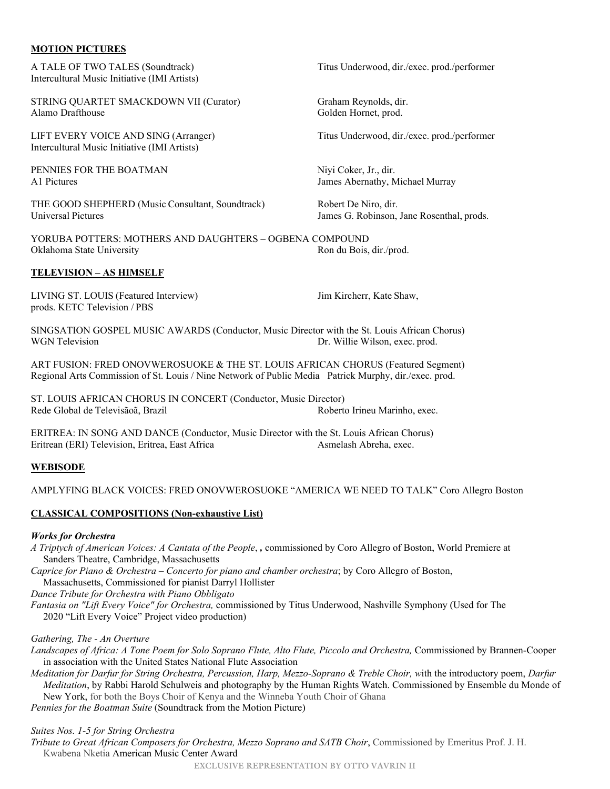#### **MOTION PICTURES**

A TALE OF TWO TALES (Soundtrack) Titus Underwood, dir./exec. prod./performer Intercultural Music Initiative (IMI Artists)

STRING QUARTET SMACKDOWN VII (Curator) Graham Reynolds, dir. Alamo Drafthouse Golden Hornet, prod.

LIFT EVERY VOICE AND SING (Arranger) Titus Underwood, dir./exec. prod./performer Intercultural Music Initiative (IMI Artists)

PENNIES FOR THE BOATMAN Niyi Coker, Jr., dir.

THE GOOD SHEPHERD (Music Consultant, Soundtrack) Robert De Niro, dir. Universal Pictures James G. Robinson, Jane Rosenthal, prods.

YORUBA POTTERS: MOTHERS AND DAUGHTERS – OGBENA COMPOUND Oklahoma State University **Ron du Bois, dir./prod.** Ron du Bois, dir./prod.

#### **TELEVISION – AS HIMSELF**

LIVING ST. LOUIS (Featured Interview) Jim Kircherr, Kate Shaw, prods. KETC Television / PBS

SINGSATION GOSPEL MUSIC AWARDS (Conductor, Music Director with the St. Louis African Chorus) WGN Television **Dr.** Willie Wilson, exec. prod.

ART FUSION: FRED ONOVWEROSUOKE & THE ST. LOUIS AFRICAN CHORUS (Featured Segment) Regional Arts Commission of St. Louis / Nine Network of Public Media Patrick Murphy, dir./exec. prod.

ST. LOUIS AFRICAN CHORUS IN CONCERT (Conductor, Music Director) Rede Global de Televisãoã, Brazil

ERITREA: IN SONG AND DANCE (Conductor, Music Director with the St. Louis African Chorus) Eritrean (ERI) Television, Eritrea, East Africa Asmelash Abreha, exec.

#### **WEBISODE**

#### AMPLYFING BLACK VOICES: FRED ONOVWEROSUOKE "AMERICA WE NEED TO TALK" Coro Allegro Boston

#### **CLASSICAL COMPOSITIONS (Non-exhaustive List)**

#### *Works for Orchestra*

*A Triptych of American Voices: A Cantata of the People*, *,* commissioned by Coro Allegro of Boston, World Premiere at Sanders Theatre, Cambridge, Massachusetts

*Caprice for Piano & Orchestra – Concerto for piano and chamber orchestra*; by Coro Allegro of Boston, Massachusetts, Commissioned for pianist Darryl Hollister

*Dance Tribute for Orchestra with Piano Obbligato*

*Fantasia on "Lift Every Voice" for Orchestra,* commissioned by Titus Underwood, Nashville Symphony (Used for The 2020 "Lift Every Voice" Project video production)

*Gathering, The - An Overture*

Landscapes of Africa: A Tone Poem for Solo Soprano Flute, Alto Flute, Piccolo and Orchestra, Commissioned by Brannen-Cooper in association with the United States National Flute Association

*Meditation for Darfur for String Orchestra, Percussion, Harp, Mezzo-Soprano & Treble Choir, w*ith the introductory poem, *Darfur Meditation*, by Rabbi Harold Schulweis and photography by the Human Rights Watch. Commissioned by Ensemble du Monde of New York, for both the Boys Choir of Kenya and the Winneba Youth Choir of Ghana

*Pennies for the Boatman Suite* (Soundtrack from the Motion Picture)

#### *Suites Nos. 1-5 for String Orchestra*

*Tribute to Great African Composers for Orchestra, Mezzo Soprano and SATB Choir*, Commissioned by Emeritus Prof. J. H. Kwabena Nketia American Music Center Award

A1 Pictures **Abernathy, Michael Murray** James Abernathy, Michael Murray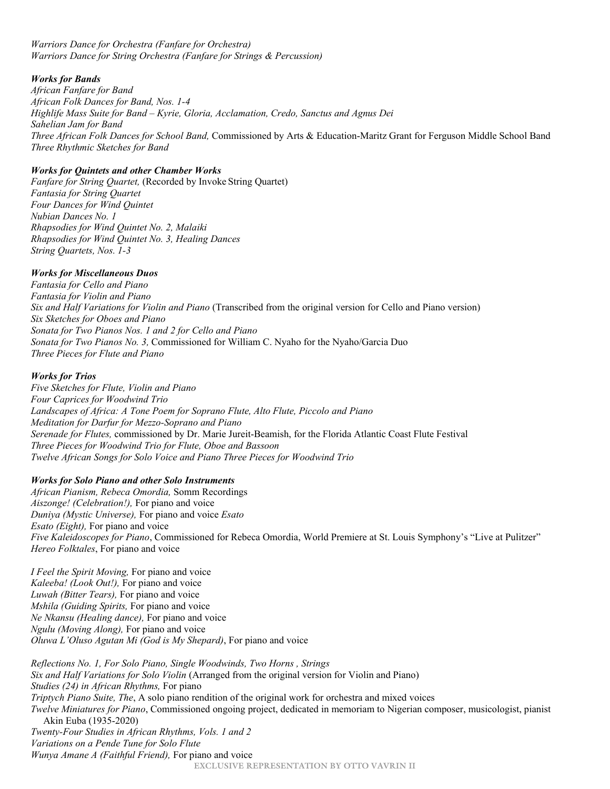#### *Warriors Dance for Orchestra (Fanfare for Orchestra) Warriors Dance for String Orchestra (Fanfare for Strings & Percussion)*

#### *Works for Bands*

*African Fanfare for Band African Folk Dances for Band, Nos. 1-4 Highlife Mass Suite for Band – Kyrie, Gloria, Acclamation, Credo, Sanctus and Agnus Dei Sahelian Jam for Band Three African Folk Dances for School Band,* Commissioned by Arts & Education-Maritz Grant for Ferguson Middle School Band *Three Rhythmic Sketches for Band*

#### *Works for Quintets and other Chamber Works*

*Fanfare for String Quartet,* (Recorded by Invoke String Quartet) *Fantasia for String Quartet Four Dances for Wind Quintet Nubian Dances No. 1 Rhapsodies for Wind Quintet No. 2, Malaiki Rhapsodies for Wind Quintet No. 3, Healing Dances String Quartets, Nos. 1-3*

#### *Works for Miscellaneous Duos*

*Fantasia for Cello and Piano Fantasia for Violin and Piano Six and Half Variations for Violin and Piano* (Transcribed from the original version for Cello and Piano version) *Six Sketches for Oboes and Piano Sonata for Two Pianos Nos. 1 and 2 for Cello and Piano Sonata for Two Pianos No. 3,* Commissioned for William C. Nyaho for the Nyaho/Garcia Duo *Three Pieces for Flute and Piano*

#### *Works for Trios*

*Five Sketches for Flute, Violin and Piano Four Caprices for Woodwind Trio Landscapes of Africa: A Tone Poem for Soprano Flute, Alto Flute, Piccolo and Piano Meditation for Darfur for Mezzo-Soprano and Piano Serenade for Flutes,* commissioned by Dr. Marie Jureit-Beamish, for the Florida Atlantic Coast Flute Festival *Three Pieces for Woodwind Trio for Flute, Oboe and Bassoon Twelve African Songs for Solo Voice and Piano Three Pieces for Woodwind Trio*

#### *Works for Solo Piano and other Solo Instruments*

*African Pianism, Rebeca Omordia,* Somm Recordings *Aiszonge! (Celebration!),* For piano and voice *Duniya (Mystic Universe),* For piano and voice *Esato Esato (Eight),* For piano and voice *Five Kaleidoscopes for Piano*, Commissioned for Rebeca Omordia, World Premiere at St. Louis Symphony's "Live at Pulitzer" *Hereo Folktales*, For piano and voice

*I Feel the Spirit Moving,* For piano and voice *Kaleeba! (Look Out!),* For piano and voice *Luwah (Bitter Tears),* For piano and voice *Mshila (Guiding Spirits,* For piano and voice *Ne Nkansu (Healing dance),* For piano and voice *Ngulu (Moving Along),* For piano and voice *Oluwa L'Oluso Agutan Mi (God is My Shepard)*, For piano and voice

**EXCLUSIVE REPRESENTATION BY OTTO VAVRIN II** *Reflections No. 1, For Solo Piano, Single Woodwinds, Two Horns , Strings Six and Half Variations for Solo Violin* (Arranged from the original version for Violin and Piano) *Studies (24) in African Rhythms,* For piano *Triptych Piano Suite, The*, A solo piano rendition of the original work for orchestra and mixed voices *Twelve Miniatures for Piano*, Commissioned ongoing project, dedicated in memoriam to Nigerian composer, musicologist, pianist Akin Euba (1935-2020) *Twenty-Four Studies in African Rhythms, Vols. 1 and 2 Variations on a Pende Tune for Solo Flute Wunya Amane A (Faithful Friend),* For piano and voice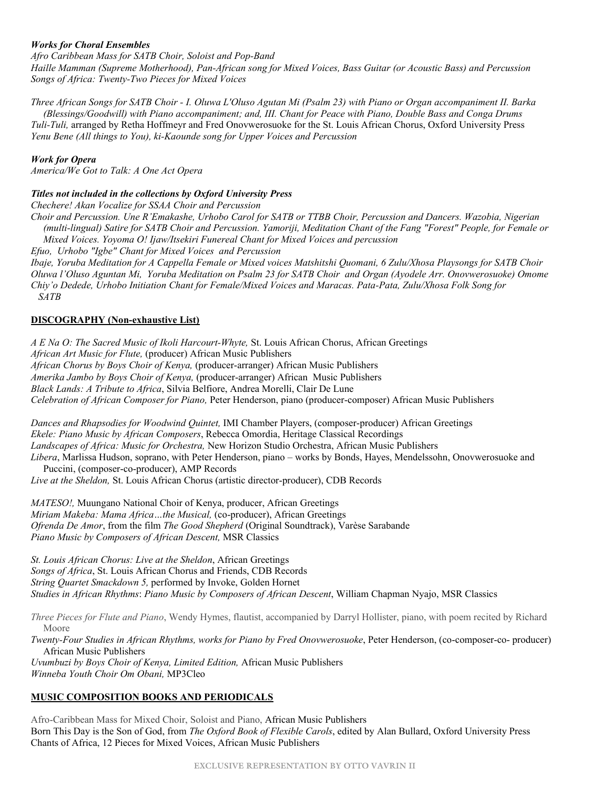#### *Works for Choral Ensembles*

*Afro Caribbean Mass for SATB Choir, Soloist and Pop-Band Haille Mamman (Supreme Motherhood), Pan-African song for Mixed Voices, Bass Guitar (or Acoustic Bass) and Percussion Songs of Africa: Twenty-Two Pieces for Mixed Voices*

*Three African Songs for SATB Choir - I. Oluwa L'Oluso Agutan Mi (Psalm 23) with Piano or Organ accompaniment II. Barka (Blessings/Goodwill) with Piano accompaniment; and, III. Chant for Peace with Piano, Double Bass and Conga Drums Tuli-Tuli,* arranged by Retha Hoffmeyr and Fred Onovwerosuoke for the St. Louis African Chorus, Oxford University Press *Yenu Bene (All things to You), ki-Kaounde song for Upper Voices and Percussion*

#### *Work for Opera*

*America/We Got to Talk: A One Act Opera*

#### *Titles not included in the collections by Oxford University Press*

*Chechere! Akan Vocalize for SSAA Choir and Percussion*

*Choir and Percussion. Une R'Emakashe, Urhobo Carol for SATB or TTBB Choir, Percussion and Dancers. Wazobia, Nigerian (multi-lingual) Satire for SATB Choir and Percussion. Yamoriji, Meditation Chant of the Fang "Forest" People, for Female or Mixed Voices. Yoyoma O! Ijaw/Itsekiri Funereal Chant for Mixed Voices and percussion*

*Efuo, Urhobo "Igbe" Chant for Mixed Voices and Percussion*

*Ibaje, Yoruba Meditation for A Cappella Female or Mixed voices Matshitshi Quomani, 6 Zulu/Xhosa Playsongs for SATB Choir Oluwa l'Oluso Aguntan Mi, Yoruba Meditation on Psalm 23 for SATB Choir and Organ (Ayodele Arr. Onovwerosuoke) Omome Chiy'o Dedede, Urhobo Initiation Chant for Female/Mixed Voices and Maracas. Pata-Pata, Zulu/Xhosa Folk Song for SATB*

#### **DISCOGRAPHY (Non-exhaustive List)**

*A E Na O: The Sacred Music of Ikoli Harcourt-Whyte,* St. Louis African Chorus, African Greetings *African Art Music for Flute,* (producer) African Music Publishers *African Chorus by Boys Choir of Kenya,* (producer-arranger) African Music Publishers *Amerika Jambo by Boys Choir of Kenya,* (producer-arranger) African Music Publishers *Black Lands: A Tribute to Africa*, Silvia Belfiore, Andrea Morelli, Clair De Lune *Celebration of African Composer for Piano,* Peter Henderson, piano (producer-composer) African Music Publishers

*Dances and Rhapsodies for Woodwind Quintet,* IMI Chamber Players, (composer-producer) African Greetings *Ekele: Piano Music by African Composers*, Rebecca Omordia, Heritage Classical Recordings *Landscapes of Africa: Music for Orchestra,* New Horizon Studio Orchestra, African Music Publishers *Libera*, Marlissa Hudson, soprano, with Peter Henderson, piano – works by Bonds, Hayes, Mendelssohn, Onovwerosuoke and

Puccini, (composer-co-producer), AMP Records *Live at the Sheldon,* St. Louis African Chorus (artistic director-producer), CDB Records

*MATESO!,* Muungano National Choir of Kenya, producer, African Greetings *Miriam Makeba: Mama Africa…the Musical,* (co-producer), African Greetings *Ofrenda De Amor*, from the film *The Good Shepherd* (Original Soundtrack), Varèse Sarabande *Piano Music by Composers of African Descent,* MSR Classics

*St. Louis African Chorus: Live at the Sheldon*, African Greetings *Songs of Africa*, St. Louis African Chorus and Friends, CDB Records *String Quartet Smackdown 5,* performed by Invoke, Golden Hornet *Studies in African Rhythms*: *Piano Music by Composers of African Descent*, William Chapman Nyajo, MSR Classics

*Three Pieces for Flute and Piano*, Wendy Hymes, flautist, accompanied by Darryl Hollister, piano, with poem recited by Richard Moore

*Twenty-Four Studies in African Rhythms, works for Piano by Fred Onovwerosuoke*, Peter Henderson, (co-composer-co- producer) African Music Publishers

*Uvumbuzi by Boys Choir of Kenya, Limited Edition,* African Music Publishers *Winneba Youth Choir Om Obani,* MP3Cleo

#### **MUSIC COMPOSITION BOOKS AND PERIODICALS**

Afro-Caribbean Mass for Mixed Choir, Soloist and Piano, African Music Publishers Born This Day is the Son of God, from *The Oxford Book of Flexible Carols*, edited by Alan Bullard, Oxford University Press Chants of Africa, 12 Pieces for Mixed Voices, African Music Publishers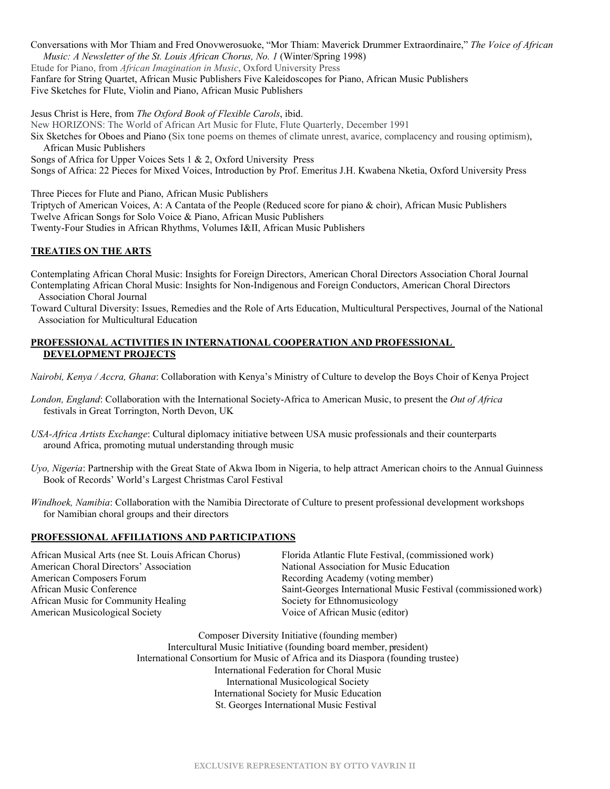Conversations with Mor Thiam and Fred Onovwerosuoke, "Mor Thiam: Maverick Drummer Extraordinaire," *The Voice of African Music: A Newsletter of the St. Louis African Chorus, No. 1 (Winter/Spring 1998)* Etude for Piano, from *African Imagination in Music*, Oxford University Press Fanfare for String Quartet, African Music Publishers Five Kaleidoscopes for Piano, African Music Publishers Five Sketches for Flute, Violin and Piano, African Music Publishers

Jesus Christ is Here, from *The Oxford Book of Flexible Carols*, ibid. New HORIZONS: The World of African Art Music for Flute, Flute Quarterly, December 1991 Six Sketches for Oboes and Piano (Six tone poems on themes of climate unrest, avarice, complacency and rousing optimism), African Music Publishers Songs of Africa for Upper Voices Sets 1 & 2, Oxford University Press Songs of Africa: 22 Pieces for Mixed Voices, Introduction by Prof. Emeritus J.H. Kwabena Nketia, Oxford University Press

Three Pieces for Flute and Piano, African Music Publishers

Triptych of American Voices, A: A Cantata of the People (Reduced score for piano & choir), African Music Publishers Twelve African Songs for Solo Voice & Piano, African Music Publishers

Twenty-Four Studies in African Rhythms, Volumes I&II, African Music Publishers

#### **TREATIES ON THE ARTS**

Contemplating African Choral Music: Insights for Foreign Directors, American Choral Directors Association Choral Journal Contemplating African Choral Music: Insights for Non-Indigenous and Foreign Conductors, American Choral Directors Association Choral Journal

Toward Cultural Diversity: Issues, Remedies and the Role of Arts Education, Multicultural Perspectives, Journal of the National Association for Multicultural Education

#### **PROFESSIONAL ACTIVITIES IN INTERNATIONAL COOPERATION AND PROFESSIONAL DEVELOPMENT PROJECTS**

*Nairobi, Kenya / Accra, Ghana*: Collaboration with Kenya's Ministry of Culture to develop the Boys Choir of Kenya Project

*London, England*: Collaboration with the International Society-Africa to American Music, to present the *Out of Africa* festivals in Great Torrington, North Devon, UK

*USA-Africa Artists Exchange*: Cultural diplomacy initiative between USA music professionals and their counterparts around Africa, promoting mutual understanding through music

- *Uyo, Nigeria*: Partnership with the Great State of Akwa Ibom in Nigeria, to help attract American choirs to the Annual Guinness Book of Records' World's Largest Christmas Carol Festival
- *Windhoek, Namibia*: Collaboration with the Namibia Directorate of Culture to present professional development workshops for Namibian choral groups and their directors

#### **PROFESSIONAL AFFILIATIONS AND PARTICIPATIONS**

| African Musical Arts (nee St. Louis African Chorus) | Florida Atlantic Flute Festival, (commissioned work)           |
|-----------------------------------------------------|----------------------------------------------------------------|
| American Choral Directors' Association              | National Association for Music Education                       |
| American Composers Forum                            | Recording Academy (voting member)                              |
| African Music Conference                            | Saint-Georges International Music Festival (commissioned work) |
| African Music for Community Healing                 | Society for Ethnomusicology                                    |
| American Musicological Society                      | Voice of African Music (editor)                                |
|                                                     |                                                                |

Composer Diversity Initiative (founding member) Intercultural Music Initiative (founding board member, president) International Consortium for Music of Africa and its Diaspora (founding trustee) International Federation for Choral Music International Musicological Society International Society for Music Education St. Georges International Music Festival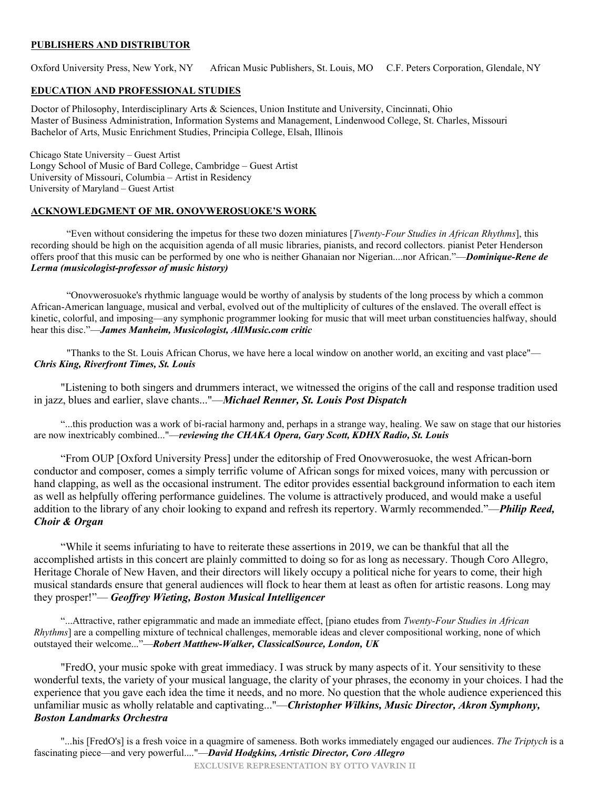#### **PUBLISHERS AND DISTRIBUTOR**

Oxford University Press, New York, NY African Music Publishers, St. Louis, MO C.F. Peters Corporation, Glendale, NY

#### **EDUCATION AND PROFESSIONAL STUDIES**

Doctor of Philosophy, Interdisciplinary Arts & Sciences, Union Institute and University, Cincinnati, Ohio Master of Business Administration, Information Systems and Management, Lindenwood College, St. Charles, Missouri Bachelor of Arts, Music Enrichment Studies, Principia College, Elsah, Illinois

 Chicago State University – Guest Artist Longy School of Music of Bard College, Cambridge – Guest Artist University of Missouri, Columbia – Artist in Residency University of Maryland – Guest Artist

#### **ACKNOWLEDGMENT OF MR. ONOVWEROSUOKE'S WORK**

"Even without considering the impetus for these two dozen miniatures [*Twenty-Four Studies in African Rhythms*], this recording should be high on the acquisition agenda of all music libraries, pianists, and record collectors. pianist Peter Henderson offers proof that this music can be performed by one who is neither Ghanaian nor Nigerian....nor African."—*Dominique-Rene de Lerma (musicologist-professor of music history)*

"Onovwerosuoke's rhythmic language would be worthy of analysis by students of the long process by which a common African-American language, musical and verbal, evolved out of the multiplicity of cultures of the enslaved. The overall effect is kinetic, colorful, and imposing—any symphonic programmer looking for music that will meet urban constituencies halfway, should hear this disc."—*James Manheim, Musicologist, AllMusic.com critic*

"Thanks to the St. Louis African Chorus, we have here a local window on another world, an exciting and vast place"— *Chris King, Riverfront Times, St. Louis*

"Listening to both singers and drummers interact, we witnessed the origins of the call and response tradition used in jazz, blues and earlier, slave chants..."—*Michael Renner, St. Louis Post Dispatch*

"...this production was a work of bi-racial harmony and, perhaps in a strange way, healing. We saw on stage that our histories are now inextricably combined..."—*reviewing the CHAKA Opera, Gary Scott, KDHX Radio, St. Louis*

"From OUP [Oxford University Press] under the editorship of Fred Onovwerosuoke, the west African-born conductor and composer, comes a simply terrific volume of African songs for mixed voices, many with percussion or hand clapping, as well as the occasional instrument. The editor provides essential background information to each item as well as helpfully offering performance guidelines. The volume is attractively produced, and would make a useful addition to the library of any choir looking to expand and refresh its repertory. Warmly recommended."—*Philip Reed, Choir & Organ*

"While it seems infuriating to have to reiterate these assertions in 2019, we can be thankful that all the accomplished artists in this concert are plainly committed to doing so for as long as necessary. Though Coro Allegro, Heritage Chorale of New Haven, and their directors will likely occupy a political niche for years to come, their high musical standards ensure that general audiences will flock to hear them at least as often for artistic reasons. Long may they prosper!"— *Geoffrey Wieting, Boston Musical Intelligencer*

"...Attractive, rather epigrammatic and made an immediate effect, [piano etudes from *Twenty-Four Studies in African Rhythms*] are a compelling mixture of technical challenges, memorable ideas and clever compositional working, none of which outstayed their welcome..."—*Robert Matthew-Walker, ClassicalSource, London, UK*

"FredO, your music spoke with great immediacy. I was struck by many aspects of it. Your sensitivity to these wonderful texts, the variety of your musical language, the clarity of your phrases, the economy in your choices. I had the experience that you gave each idea the time it needs, and no more. No question that the whole audience experienced this unfamiliar music as wholly relatable and captivating..."—*Christopher Wilkins, Music Director, Akron Symphony, Boston Landmarks Orchestra*

"...his [FredO's] is a fresh voice in a quagmire of sameness. Both works immediately engaged our audiences. *The Triptych* is a fascinating piece—and very powerful...."—*David Hodgkins, Artistic Director, Coro Allegro*